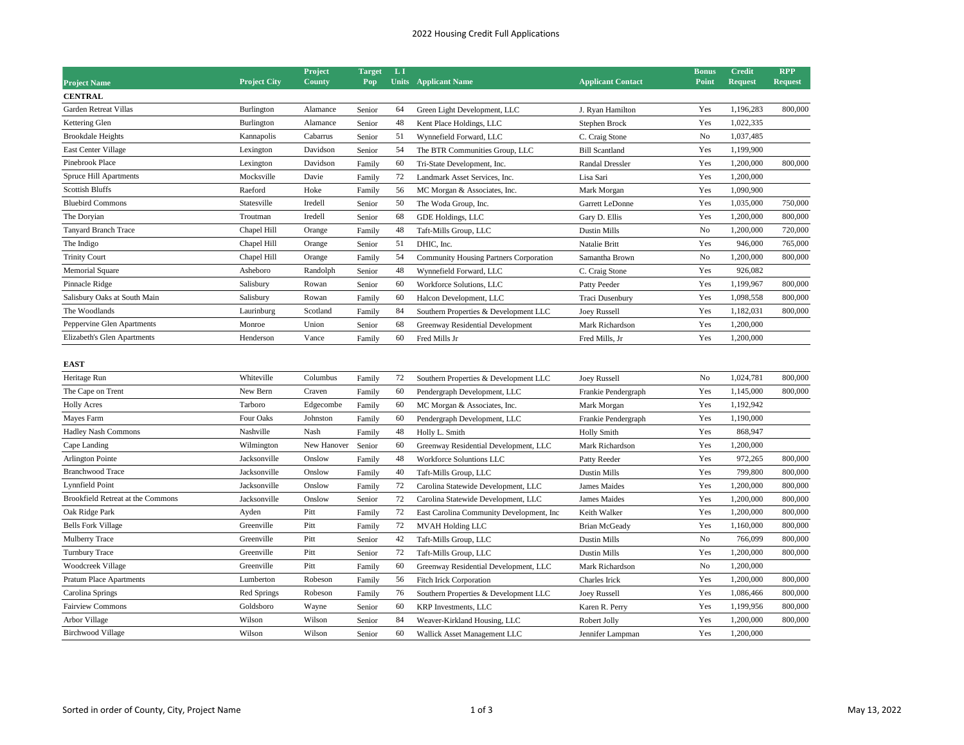## 2022 Housing Credit Full Applications

|                                                |                     | Project     | <b>Target</b> | L1 |                                           |                          | <b>Bonus</b> | <b>Credit</b>  | <b>RPP</b>     |
|------------------------------------------------|---------------------|-------------|---------------|----|-------------------------------------------|--------------------------|--------------|----------------|----------------|
| <b>Project Name</b>                            | <b>Project City</b> | County      | Pop           |    | <b>Units</b> Applicant Name               | <b>Applicant Contact</b> | Point        | <b>Request</b> | <b>Request</b> |
| <b>CENTRAL</b><br><b>Garden Retreat Villas</b> |                     |             |               |    |                                           |                          |              |                |                |
|                                                | Burlington          | Alamance    | Senior        | 64 | Green Light Development, LLC              | J. Ryan Hamilton         | Yes          | 1,196,283      | 800,000        |
| Kettering Glen                                 | Burlington          | Alamance    | Senior        | 48 | Kent Place Holdings, LLC                  | Stephen Brock            | Yes          | 1,022,335      |                |
| <b>Brookdale Heights</b>                       | Kannapolis          | Cabarrus    | Senior        | 51 | Wynnefield Forward, LLC                   | C. Craig Stone           | No           | 1,037,485      |                |
| <b>East Center Village</b>                     | Lexington           | Davidson    | Senior        | 54 | The BTR Communities Group, LLC            | <b>Bill Scantland</b>    | Yes          | 1,199,900      |                |
| Pinebrook Place                                | Lexington           | Davidson    | Family        | 60 | Tri-State Development, Inc.               | <b>Randal Dressler</b>   | Yes          | 1,200,000      | 800,000        |
| Spruce Hill Apartments                         | Mocksville          | Davie       | Family        | 72 | Landmark Asset Services, Inc.             | Lisa Sari                | Yes          | 1,200,000      |                |
| <b>Scottish Bluffs</b>                         | Raeford             | Hoke        | Family        | 56 | MC Morgan & Associates, Inc.              | Mark Morgan              | Yes          | 1,090,900      |                |
| <b>Bluebird Commons</b>                        | Statesville         | Iredell     | Senior        | 50 | The Woda Group, Inc.                      | Garrett LeDonne          | Yes          | 1,035,000      | 750,000        |
| The Doryian                                    | Troutman            | Iredell     | Senior        | 68 | GDE Holdings, LLC                         | Gary D. Ellis            | Yes          | 1,200,000      | 800,000        |
| Tanyard Branch Trace                           | Chapel Hill         | Orange      | Family        | 48 | Taft-Mills Group, LLC                     | Dustin Mills             | No           | 1,200,000      | 720,000        |
| The Indigo                                     | Chapel Hill         | Orange      | Senior        | 51 | DHIC, Inc.                                | Natalie Britt            | Yes          | 946,000        | 765,000        |
| <b>Trinity Court</b>                           | Chapel Hill         | Orange      | Family        | 54 | Community Housing Partners Corporation    | Samantha Brown           | No           | 1,200,000      | 800,000        |
| <b>Memorial Square</b>                         | Asheboro            | Randolph    | Senior        | 48 | Wynnefield Forward, LLC                   | C. Craig Stone           | Yes          | 926,082        |                |
| Pinnacle Ridge                                 | Salisbury           | Rowan       | Senior        | 60 | Workforce Solutions, LLC                  | Patty Peeder             | Yes          | 1,199,967      | 800,000        |
| Salisbury Oaks at South Main                   | Salisbury           | Rowan       | Family        | 60 | Halcon Development, LLC                   | Traci Dusenbury          | Yes          | 1,098,558      | 800,000        |
| The Woodlands                                  | Laurinburg          | Scotland    | Family        | 84 | Southern Properties & Development LLC     | <b>Joey Russell</b>      | Yes          | 1,182,031      | 800,000        |
| Peppervine Glen Apartments                     | Monroe              | Union       | Senior        | 68 | Greenway Residential Development          | Mark Richardson          | Yes          | 1,200,000      |                |
| Elizabeth's Glen Apartments                    | Henderson           | Vance       | Family        | 60 | Fred Mills Jr                             | Fred Mills, Jr           | Yes          | 1,200,000      |                |
| <b>EAST</b>                                    |                     |             |               |    |                                           |                          |              |                |                |
| Heritage Run                                   | Whiteville          | Columbus    | Family        | 72 | Southern Properties & Development LLC     | <b>Joey Russell</b>      | No           | 1,024,781      | 800,000        |
| The Cape on Trent                              | New Bern            | Craven      | Family        | 60 | Pendergraph Development, LLC              | Frankie Pendergraph      | Yes          | 1,145,000      | 800,000        |
| <b>Holly Acres</b>                             | Tarboro             | Edgecombe   | Family        | 60 | MC Morgan & Associates, Inc.              | Mark Morgan              | Yes          | 1,192,942      |                |
| Mayes Farm                                     | Four Oaks           | Johnston    | Family        | 60 | Pendergraph Development, LLC              | Frankie Pendergraph      | Yes          | 1,190,000      |                |
| <b>Hadley Nash Commons</b>                     | Nashville           | Nash        | Family        | 48 | Holly L. Smith                            | <b>Holly Smith</b>       | Yes          | 868,947        |                |
| Cape Landing                                   | Wilmington          | New Hanover | Senior        | 60 | Greenway Residential Development, LLC     | Mark Richardson          | Yes          | 1,200,000      |                |
| <b>Arlington Pointe</b>                        | Jacksonville        | Onslow      | Family        | 48 | Workforce Soluntions LLC                  | Patty Reeder             | Yes          | 972,265        | 800,000        |
| <b>Branchwood Trace</b>                        | Jacksonville        | Onslow      | Family        | 40 | Taft-Mills Group, LLC                     | <b>Dustin Mills</b>      | Yes          | 799,800        | 800,000        |
| Lynnfield Point                                | Jacksonville        | Onslow      | Family        | 72 | Carolina Statewide Development, LLC       | James Maides             | Yes          | 1,200,000      | 800,000        |
| Brookfield Retreat at the Commons              | Jacksonville        | Onslow      | Senior        | 72 | Carolina Statewide Development, LLC       | <b>James Maides</b>      | Yes          | 1,200,000      | 800,000        |
| Oak Ridge Park                                 | Ayden               | Pitt        | Family        | 72 | East Carolina Community Development, Inc. | Keith Walker             | Yes          | 1,200,000      | 800,000        |
| <b>Bells Fork Village</b>                      | Greenville          | Pitt        | Family        | 72 | <b>MVAH Holding LLC</b>                   | <b>Brian McGeady</b>     | Yes          | 1,160,000      | 800,000        |
| Mulberry Trace                                 | Greenville          | Pitt        | Senior        | 42 | Taft-Mills Group, LLC                     | <b>Dustin Mills</b>      | No           | 766,099        | 800,000        |
| <b>Turnbury Trace</b>                          | Greenville          | Pitt        | Senior        | 72 | Taft-Mills Group, LLC                     | <b>Dustin Mills</b>      | Yes          | 1,200,000      | 800,000        |
| Woodcreek Village                              | Greenville          | Pitt        | Family        | 60 | Greenway Residential Development, LLC     | Mark Richardson          | No           | 1,200,000      |                |
| <b>Pratum Place Apartments</b>                 | Lumberton           | Robeson     | Family        | 56 | Fitch Irick Corporation                   | Charles Irick            | Yes          | 1,200,000      | 800,000        |
| Carolina Springs                               | Red Springs         | Robeson     | Family        | 76 | Southern Properties & Development LLC     | <b>Joey Russell</b>      | Yes          | 1,086,466      | 800,000        |
| Fairview Commons                               | Goldsboro           | Wayne       | Senior        | 60 | <b>KRP</b> Investments, LLC               | Karen R. Perry           | Yes          | 1,199,956      | 800,000        |
| Arbor Village                                  | Wilson              | Wilson      | Senior        | 84 | Weaver-Kirkland Housing, LLC              | Robert Jolly             | Yes          | 1,200,000      | 800,000        |
| <b>Birchwood Village</b>                       | Wilson              | Wilson      | Senior        | 60 | Wallick Asset Management LLC              | Jennifer Lampman         | Yes          | 1,200,000      |                |
|                                                |                     |             |               |    |                                           |                          |              |                |                |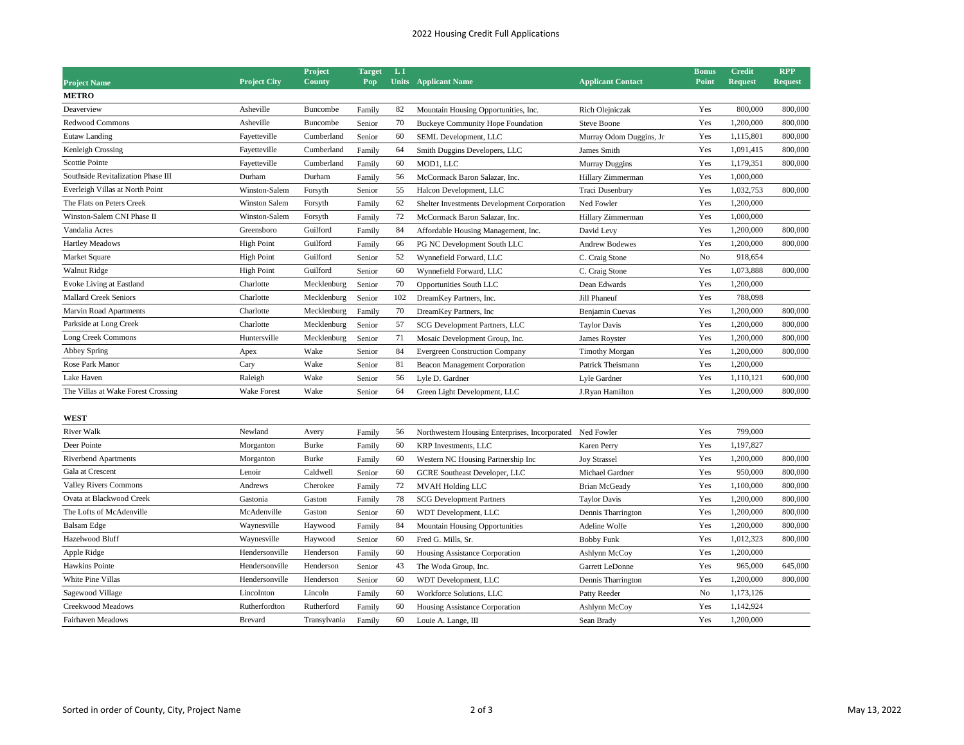## 2022 Housing Credit Full Applications

|                                    |                     | Project      | <b>Target</b> | LI  |                                                           |                          | <b>Bonus</b> | Credit         | <b>RPP</b>     |
|------------------------------------|---------------------|--------------|---------------|-----|-----------------------------------------------------------|--------------------------|--------------|----------------|----------------|
| <b>Project Name</b>                | <b>Project City</b> | County       | Pop           |     | <b>Units</b> Applicant Name                               | <b>Applicant Contact</b> | Point        | <b>Request</b> | <b>Request</b> |
| <b>METRO</b>                       |                     |              |               |     |                                                           |                          |              |                |                |
| Deaverview                         | Asheville           | Buncombe     | Family        | 82  | Mountain Housing Opportunities, Inc.                      | Rich Olejniczak          | Yes          | 800,000        | 800,000        |
| <b>Redwood Commons</b>             | Asheville           | Buncombe     | Senior        | 70  | <b>Buckeye Community Hope Foundation</b>                  | <b>Steve Boone</b>       | Yes          | 1,200,000      | 800,000        |
| Eutaw Landing                      | Fayetteville        | Cumberland   | Senior        | 60  | SEML Development, LLC                                     | Murray Odom Duggins, Jr  | Yes          | 1,115,801      | 800,000        |
| Kenleigh Crossing                  | Fayetteville        | Cumberland   | Family        | 64  | Smith Duggins Developers, LLC                             | James Smith              | Yes          | 1,091,415      | 800,000        |
| Scottie Pointe                     | Fayetteville        | Cumberland   | Family        | 60  | MOD1, LLC                                                 | <b>Murray Duggins</b>    | Yes          | 1,179,351      | 800,000        |
| Southside Revitalization Phase III | Durham              | Durham       | Family        | 56  | McCormack Baron Salazar, Inc.                             | Hillary Zimmerman        | Yes          | 1,000,000      |                |
| Everleigh Villas at North Point    | Winston-Salem       | Forsyth      | Senior        | 55  | Halcon Development, LLC                                   | Traci Dusenbury          | Yes          | 1,032,753      | 800,000        |
| The Flats on Peters Creek          | Winston Salem       | Forsyth      | Family        | 62  | Shelter Investments Development Corporation               | Ned Fowler               | Yes          | 1,200,000      |                |
| Winston-Salem CNI Phase II         | Winston-Salem       | Forsyth      | Family        | 72  | McCormack Baron Salazar, Inc.                             | Hillary Zimmerman        | Yes          | 1,000,000      |                |
| Vandalia Acres                     | Greensboro          | Guilford     | Family        | 84  | Affordable Housing Management, Inc.                       | David Levy               | Yes          | 1,200,000      | 800,000        |
| <b>Hartley Meadows</b>             | <b>High Point</b>   | Guilford     | Family        | 66  | PG NC Development South LLC                               | <b>Andrew Bodewes</b>    | Yes          | 1,200,000      | 800,000        |
| Market Square                      | <b>High Point</b>   | Guilford     | Senior        | 52  | Wynnefield Forward, LLC                                   | C. Craig Stone           | No           | 918,654        |                |
| Walnut Ridge                       | <b>High Point</b>   | Guilford     | Senior        | 60  | Wynnefield Forward, LLC                                   | C. Craig Stone           | Yes          | 1,073,888      | 800,000        |
| Evoke Living at Eastland           | Charlotte           | Mecklenburg  | Senior        | 70  | Opportunities South LLC                                   | Dean Edwards             | Yes          | 1,200,000      |                |
| Mallard Creek Seniors              | Charlotte           | Mecklenburg  | Senior        | 102 | DreamKey Partners, Inc.                                   | Jill Phaneuf             | Yes          | 788,098        |                |
| Marvin Road Apartments             | Charlotte           | Mecklenburg  | Family        | 70  | DreamKey Partners, Inc.                                   | Benjamin Cuevas          | Yes          | 1,200,000      | 800,000        |
| Parkside at Long Creek             | Charlotte           | Mecklenburg  | Senior        | 57  | SCG Development Partners, LLC                             | <b>Taylor Davis</b>      | Yes          | 1,200,000      | 800,000        |
| Long Creek Commons                 | Huntersville        | Mecklenburg  | Senior        | 71  | Mosaic Development Group, Inc.                            | James Royster            | Yes          | 1,200,000      | 800,000        |
| Abbey Spring                       | Apex                | Wake         | Senior        | 84  | <b>Evergreen Construction Company</b>                     | <b>Timothy Morgan</b>    | Yes          | 1,200,000      | 800,000        |
| Rose Park Manor                    | Cary                | Wake         | Senior        | 81  | Beacon Management Corporation                             | Patrick Theismann        | Yes          | 1,200,000      |                |
| Lake Haven                         | Raleigh             | Wake         | Senior        | 56  | Lyle D. Gardner                                           | Lyle Gardner             | Yes          | 1,110,121      | 600,000        |
| The Villas at Wake Forest Crossing | Wake Forest         | Wake         | Senior        | 64  | Green Light Development, LLC                              | J.Ryan Hamilton          | Yes          | 1,200,000      | 800,000        |
|                                    |                     |              |               |     |                                                           |                          |              |                |                |
| <b>WEST</b>                        |                     |              |               |     |                                                           |                          |              |                |                |
| <b>River Walk</b>                  | Newland             | Avery        | Family        | 56  | Northwestern Housing Enterprises, Incorporated Ned Fowler |                          | Yes          | 799,000        |                |
| Deer Pointe                        | Morganton           | <b>Burke</b> | Family        | 60  | KRP Investments, LLC                                      | Karen Perry              | Yes          | 1,197,827      |                |
| <b>Riverbend Apartments</b>        | Morganton           | <b>Burke</b> | Family        | 60  | Western NC Housing Partnership Inc                        | <b>Joy Strassel</b>      | Yes          | 1,200,000      | 800,000        |
| Gala at Crescent                   | Lenoir              | Caldwell     | Senior        | 60  | <b>GCRE</b> Southeast Developer, LLC                      | Michael Gardner          | Yes          | 950,000        | 800,000        |
| <b>Valley Rivers Commons</b>       | Andrews             | Cherokee     | Family        | 72  | <b>MVAH Holding LLC</b>                                   | <b>Brian McGeady</b>     | Yes          | 1,100,000      | 800,000        |
| Ovata at Blackwood Creek           | Gastonia            | Gaston       | Family        | 78  | <b>SCG</b> Development Partners                           | <b>Taylor Davis</b>      | Yes          | 1,200,000      | 800,000        |
| The Lofts of McAdenville           | McAdenville         | Gaston       | Senior        | 60  | WDT Development, LLC                                      | Dennis Tharrington       | Yes          | 1,200,000      | 800,000        |
| <b>Balsam Edge</b>                 | Waynesville         | Haywood      | Family        | 84  | Mountain Housing Opportunities                            | Adeline Wolfe            | Yes          | 1,200,000      | 800,000        |
| Hazelwood Bluff                    | Waynesville         | Haywood      | Senior        | 60  | Fred G. Mills, Sr.                                        | <b>Bobby Funk</b>        | Yes          | 1,012,323      | 800,000        |
| Apple Ridge                        | Hendersonville      | Henderson    | Family        | 60  | Housing Assistance Corporation                            | Ashlynn McCoy            | Yes          | 1,200,000      |                |
| Hawkins Pointe                     | Hendersonville      | Henderson    | Senior        | 43  | The Woda Group, Inc.                                      | Garrett LeDonne          | Yes          | 965,000        | 645,000        |
| White Pine Villas                  | Hendersonville      | Henderson    | Senior        | 60  | WDT Development, LLC                                      | Dennis Tharrington       | Yes          | 1,200,000      | 800,000        |
| Sagewood Village                   | Lincolnton          | Lincoln      | Family        | 60  | Workforce Solutions, LLC                                  | Patty Reeder             | No           | 1,173,126      |                |
| Creekwood Meadows                  | Rutherfordton       | Rutherford   | Family        | 60  | Housing Assistance Corporation                            | Ashlynn McCoy            | Yes          | 1,142,924      |                |
| <b>Fairhaven Meadows</b>           | <b>Brevard</b>      | Transylvania | Family        | 60  | Louie A. Lange, III                                       | Sean Brady               | Yes          | 1,200,000      |                |